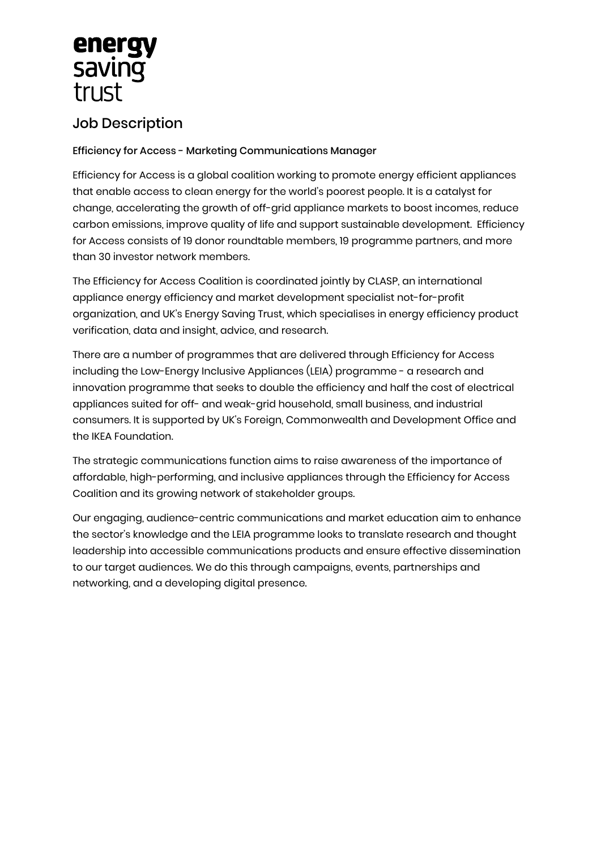## energy saving trust

## Job Description

## Efficiency for Access - Marketing Communications Manager

Efficiency for Access is a global coalition working to promote energy efficient appliances that enable access to clean energy for the world's poorest people. It is a catalyst for change, accelerating the growth of off-grid appliance markets to boost incomes, reduce carbon emissions, improve quality of life and support sustainable development. Efficiency for Access consists of 19 donor roundtable members, 19 programme partners, and more than 30 investor network members.

The Efficiency for Access Coalition is coordinated jointly by CLASP, an international appliance energy efficiency and market development specialist not-for-profit organization, and UK's Energy Saving Trust, which specialises in energy efficiency product verification, data and insight, advice, and research.

There are a number of programmes that are delivered through Efficiency for Access including the Low-Energy Inclusive Appliances (LEIA) programme - a research and innovation programme that seeks to double the efficiency and half the cost of electrical appliances suited for off- and weak-grid household, small business, and industrial consumers. It is supported by UK's Foreign, Commonwealth and Development Office and the IKEA Foundation.

The strategic communications function aims to raise awareness of the importance of affordable, high-performing, and inclusive appliances through the Efficiency for Access Coalition and its growing network of stakeholder groups.

Our engaging, audience-centric communications and market education aim to enhance the sector's knowledge and the LEIA programme looks to translate research and thought leadership into accessible communications products and ensure effective dissemination to our target audiences. We do this through campaigns, events, partnerships and networking, and a developing digital presence.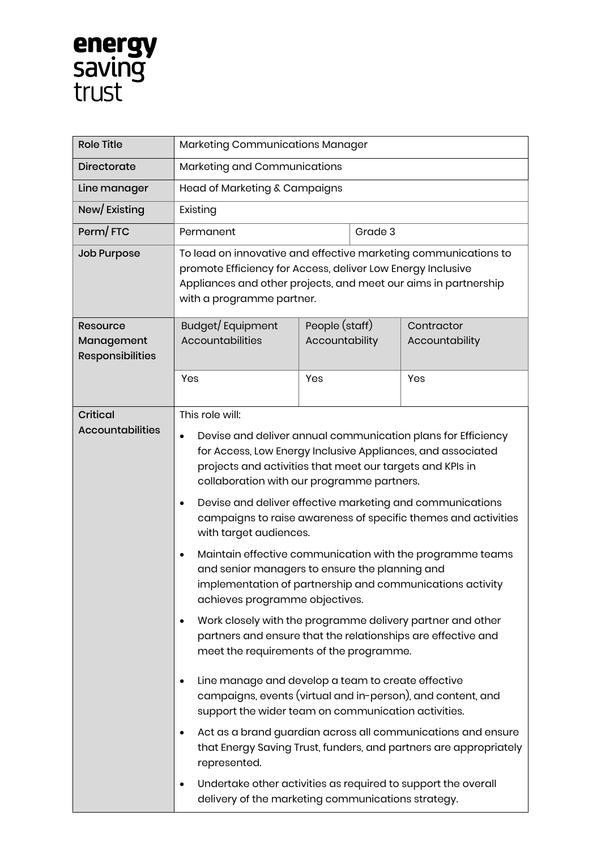

| <b>Role Title</b>                     | Marketing Communications Manager                                                                                                                                                                                                                                                                                                                                                                                                                                                                                                                      |                                  |         |                              |  |
|---------------------------------------|-------------------------------------------------------------------------------------------------------------------------------------------------------------------------------------------------------------------------------------------------------------------------------------------------------------------------------------------------------------------------------------------------------------------------------------------------------------------------------------------------------------------------------------------------------|----------------------------------|---------|------------------------------|--|
| <b>Directorate</b>                    | Marketing and Communications                                                                                                                                                                                                                                                                                                                                                                                                                                                                                                                          |                                  |         |                              |  |
| Line manager                          | Head of Marketing & Campaigns                                                                                                                                                                                                                                                                                                                                                                                                                                                                                                                         |                                  |         |                              |  |
| New/Existing                          | Existing                                                                                                                                                                                                                                                                                                                                                                                                                                                                                                                                              |                                  |         |                              |  |
| Perm/FTC                              | Permanent                                                                                                                                                                                                                                                                                                                                                                                                                                                                                                                                             |                                  | Grade 3 |                              |  |
| <b>Job Purpose</b>                    | To lead on innovative and effective marketing communications to<br>promote Efficiency for Access, deliver Low Energy Inclusive<br>Appliances and other projects, and meet our aims in partnership<br>with a programme partner.                                                                                                                                                                                                                                                                                                                        |                                  |         |                              |  |
| <b>Resource</b>                       | Budget/Equipment                                                                                                                                                                                                                                                                                                                                                                                                                                                                                                                                      | People (staff)<br>Accountability |         | Contractor<br>Accountability |  |
| Management<br><b>Responsibilities</b> | Accountabilities                                                                                                                                                                                                                                                                                                                                                                                                                                                                                                                                      |                                  |         |                              |  |
|                                       | Yes                                                                                                                                                                                                                                                                                                                                                                                                                                                                                                                                                   | Yes                              |         | Yes                          |  |
| <b>Critical</b>                       | This role will:                                                                                                                                                                                                                                                                                                                                                                                                                                                                                                                                       |                                  |         |                              |  |
| <b>Accountabilities</b>               | Devise and deliver annual communication plans for Efficiency<br>$\bullet$<br>for Access, Low Energy Inclusive Appliances, and associated<br>projects and activities that meet our targets and KPIs in<br>collaboration with our programme partners.<br>Devise and deliver effective marketing and communications<br>$\bullet$<br>campaigns to raise awareness of specific themes and activities<br>with target audiences.<br>Maintain effective communication with the programme teams<br>$\bullet$<br>and senior managers to ensure the planning and |                                  |         |                              |  |
|                                       | implementation of partnership and communications activity<br>achieves programme objectives.                                                                                                                                                                                                                                                                                                                                                                                                                                                           |                                  |         |                              |  |
|                                       | Work closely with the programme delivery partner and other<br>$\bullet$<br>partners and ensure that the relationships are effective and<br>meet the requirements of the programme.                                                                                                                                                                                                                                                                                                                                                                    |                                  |         |                              |  |
|                                       | Line manage and develop a team to create effective<br>$\bullet$<br>campaigns, events (virtual and in-person), and content, and<br>support the wider team on communication activities.                                                                                                                                                                                                                                                                                                                                                                 |                                  |         |                              |  |
|                                       | Act as a brand guardian across all communications and ensure<br>$\bullet$<br>that Energy Saving Trust, funders, and partners are appropriately<br>represented.                                                                                                                                                                                                                                                                                                                                                                                        |                                  |         |                              |  |
|                                       | Undertake other activities as required to support the overall<br>٠<br>delivery of the marketing communications strategy.                                                                                                                                                                                                                                                                                                                                                                                                                              |                                  |         |                              |  |